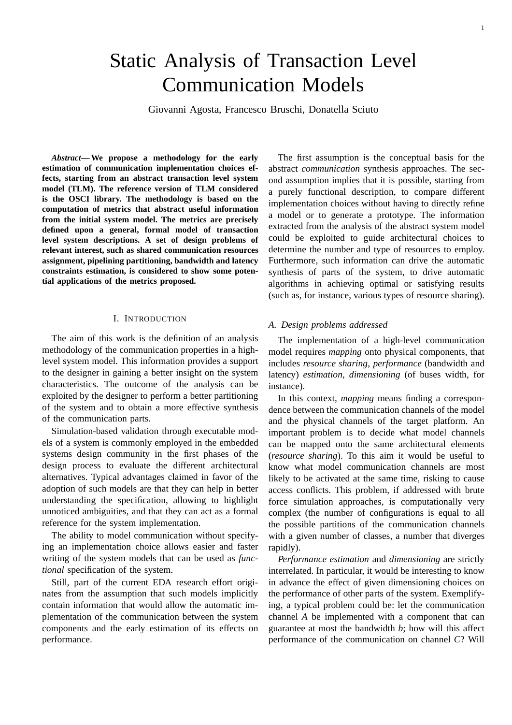# Static Analysis of Transaction Level Communication Models

Giovanni Agosta, Francesco Bruschi, Donatella Sciuto

*Abstract***— We propose a methodology for the early estimation of communication implementation choices effects, starting from an abstract transaction level system model (TLM). The reference version of TLM considered is the OSCI library. The methodology is based on the computation of metrics that abstract useful information from the initial system model. The metrics are precisely defined upon a general, formal model of transaction level system descriptions. A set of design problems of relevant interest, such as shared communication resources assignment, pipelining partitioning, bandwidth and latency constraints estimation, is considered to show some potential applications of the metrics proposed.**

# I. INTRODUCTION

The aim of this work is the definition of an analysis methodology of the communication properties in a highlevel system model. This information provides a support to the designer in gaining a better insight on the system characteristics. The outcome of the analysis can be exploited by the designer to perform a better partitioning of the system and to obtain a more effective synthesis of the communication parts.

Simulation-based validation through executable models of a system is commonly employed in the embedded systems design community in the first phases of the design process to evaluate the different architectural alternatives. Typical advantages claimed in favor of the adoption of such models are that they can help in better understanding the specification, allowing to highlight unnoticed ambiguities, and that they can act as a formal reference for the system implementation.

The ability to model communication without specifying an implementation choice allows easier and faster writing of the system models that can be used as *functional* specification of the system.

Still, part of the current EDA research effort originates from the assumption that such models implicitly contain information that would allow the automatic implementation of the communication between the system components and the early estimation of its effects on performance.

The first assumption is the conceptual basis for the abstract *communication* synthesis approaches. The second assumption implies that it is possible, starting from a purely functional description, to compare different implementation choices without having to directly refine a model or to generate a prototype. The information extracted from the analysis of the abstract system model could be exploited to guide architectural choices to determine the number and type of resources to employ. Furthermore, such information can drive the automatic synthesis of parts of the system, to drive automatic algorithms in achieving optimal or satisfying results (such as, for instance, various types of resource sharing).

#### *A. Design problems addressed*

The implementation of a high-level communication model requires *mapping* onto physical components, that includes *resource sharing*, *performance* (bandwidth and latency) *estimation*, *dimensioning* (of buses width, for instance).

In this context, *mapping* means finding a correspondence between the communication channels of the model and the physical channels of the target platform. An important problem is to decide what model channels can be mapped onto the same architectural elements (*resource sharing*). To this aim it would be useful to know what model communication channels are most likely to be activated at the same time, risking to cause access conflicts. This problem, if addressed with brute force simulation approaches, is computationally very complex (the number of configurations is equal to all the possible partitions of the communication channels with a given number of classes, a number that diverges rapidly).

*Performance estimation* and *dimensioning* are strictly interrelated. In particular, it would be interesting to know in advance the effect of given dimensioning choices on the performance of other parts of the system. Exemplifying, a typical problem could be: let the communication channel *A* be implemented with a component that can guarantee at most the bandwidth *b*; how will this affect performance of the communication on channel *C*? Will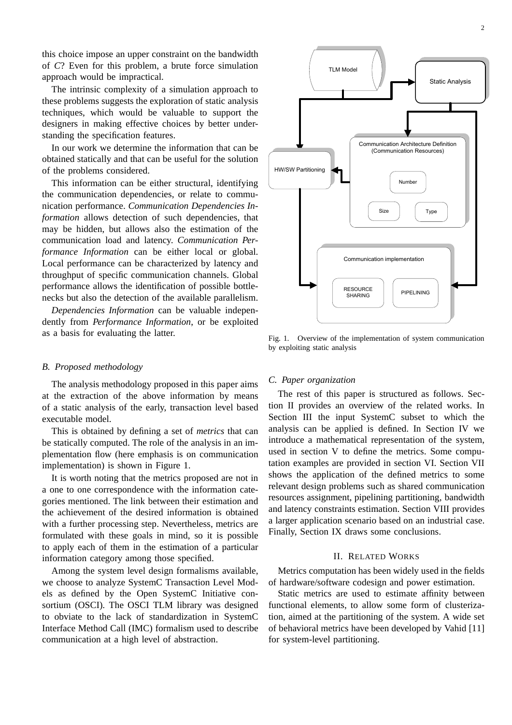this choice impose an upper constraint on the bandwidth of *C*? Even for this problem, a brute force simulation approach would be impractical.

The intrinsic complexity of a simulation approach to these problems suggests the exploration of static analysis techniques, which would be valuable to support the designers in making effective choices by better understanding the specification features.

In our work we determine the information that can be obtained statically and that can be useful for the solution of the problems considered.

This information can be either structural, identifying the communication dependencies, or relate to communication performance. *Communication Dependencies Information* allows detection of such dependencies, that may be hidden, but allows also the estimation of the communication load and latency. *Communication Performance Information* can be either local or global. Local performance can be characterized by latency and throughput of specific communication channels. Global performance allows the identification of possible bottlenecks but also the detection of the available parallelism.

*Dependencies Information* can be valuable independently from *Performance Information*, or be exploited as a basis for evaluating the latter.

# *B. Proposed methodology*

The analysis methodology proposed in this paper aims at the extraction of the above information by means of a static analysis of the early, transaction level based executable model.

This is obtained by defining a set of *metrics* that can be statically computed. The role of the analysis in an implementation flow (here emphasis is on communication implementation) is shown in Figure 1.

It is worth noting that the metrics proposed are not in a one to one correspondence with the information categories mentioned. The link between their estimation and the achievement of the desired information is obtained with a further processing step. Nevertheless, metrics are formulated with these goals in mind, so it is possible to apply each of them in the estimation of a particular information category among those specified.

Among the system level design formalisms available, we choose to analyze SystemC Transaction Level Models as defined by the Open SystemC Initiative consortium (OSCI). The OSCI TLM library was designed to obviate to the lack of standardization in SystemC Interface Method Call (IMC) formalism used to describe communication at a high level of abstraction.



Fig. 1. Overview of the implementation of system communication by exploiting static analysis

## *C. Paper organization*

The rest of this paper is structured as follows. Section II provides an overview of the related works. In Section III the input SystemC subset to which the analysis can be applied is defined. In Section IV we introduce a mathematical representation of the system, used in section V to define the metrics. Some computation examples are provided in section VI. Section VII shows the application of the defined metrics to some relevant design problems such as shared communication resources assignment, pipelining partitioning, bandwidth and latency constraints estimation. Section VIII provides a larger application scenario based on an industrial case. Finally, Section IX draws some conclusions.

# II. RELATED WORKS

Metrics computation has been widely used in the fields of hardware/software codesign and power estimation.

Static metrics are used to estimate affinity between functional elements, to allow some form of clusterization, aimed at the partitioning of the system. A wide set of behavioral metrics have been developed by Vahid [11] for system-level partitioning.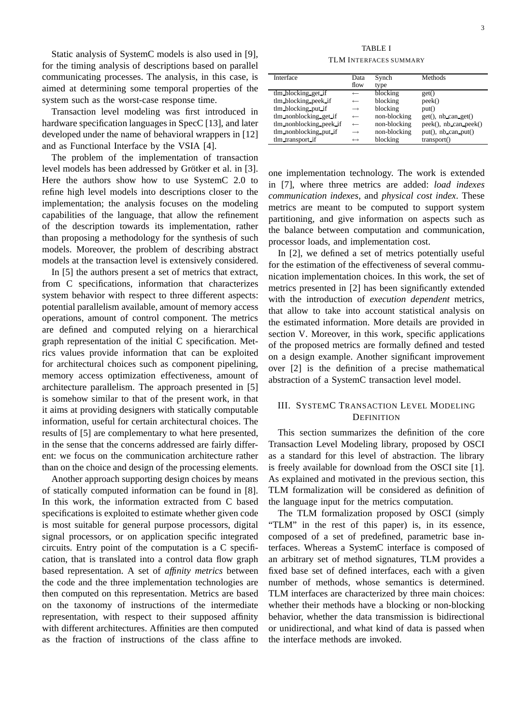Static analysis of SystemC models is also used in [9], for the timing analysis of descriptions based on parallel communicating processes. The analysis, in this case, is aimed at determining some temporal properties of the system such as the worst-case response time.

Transaction level modeling was first introduced in hardware specification languages in SpecC [13], and later developed under the name of behavioral wrappers in [12] and as Functional Interface by the VSIA [4].

The problem of the implementation of transaction level models has been addressed by Grötker et al. in [3]. Here the authors show how to use SystemC 2.0 to refine high level models into descriptions closer to the implementation; the analysis focuses on the modeling capabilities of the language, that allow the refinement of the description towards its implementation, rather than proposing a methodology for the synthesis of such models. Moreover, the problem of describing abstract models at the transaction level is extensively considered.

In [5] the authors present a set of metrics that extract, from C specifications, information that characterizes system behavior with respect to three different aspects: potential parallelism available, amount of memory access operations, amount of control component. The metrics are defined and computed relying on a hierarchical graph representation of the initial C specification. Metrics values provide information that can be exploited for architectural choices such as component pipelining, memory access optimization effectiveness, amount of architecture parallelism. The approach presented in [5] is somehow similar to that of the present work, in that it aims at providing designers with statically computable information, useful for certain architectural choices. The results of [5] are complementary to what here presented, in the sense that the concerns addressed are fairly different: we focus on the communication architecture rather than on the choice and design of the processing elements.

Another approach supporting design choices by means of statically computed information can be found in [8]. In this work, the information extracted from C based specifications is exploited to estimate whether given code is most suitable for general purpose processors, digital signal processors, or on application specific integrated circuits. Entry point of the computation is a C specification, that is translated into a control data flow graph based representation. A set of *affinity metrics* between the code and the three implementation technologies are then computed on this representation. Metrics are based on the taxonomy of instructions of the intermediate representation, with respect to their supposed affinity with different architectures. Affinities are then computed as the fraction of instructions of the class affine to

TABLE I TLM INTERFACES SUMMARY

| Interface               | Data<br>flow      | Synch<br>type | Methods                    |
|-------------------------|-------------------|---------------|----------------------------|
| tlm_blocking_get_if     | $\leftarrow$      | blocking      | get()                      |
| tlm_blocking_peek_if    | $\leftarrow$      | blocking      | peek()                     |
| tlm_blocking_put_if     | $\rightarrow$     | blocking      | put()                      |
| tlm_nonblocking_get_if  | $\leftarrow$      | non-blocking  | get(), nb can get()        |
| tlm_nonblocking_peek_if | $\leftarrow$      | non-blocking  | $peek()$ , nb can $peek()$ |
| tlm_nonblocking_put_if  | $\rightarrow$     | non-blocking  | put(), nb can.put()        |
| tlm_transport_if        | $\leftrightarrow$ | blocking      | transport()                |

one implementation technology. The work is extended in [7], where three metrics are added: *load indexes communication indexes*, and *physical cost index*. These metrics are meant to be computed to support system partitioning, and give information on aspects such as the balance between computation and communication, processor loads, and implementation cost.

In [2], we defined a set of metrics potentially useful for the estimation of the effectiveness of several communication implementation choices. In this work, the set of metrics presented in [2] has been significantly extended with the introduction of *execution dependent* metrics, that allow to take into account statistical analysis on the estimated information. More details are provided in section V. Moreover, in this work, specific applications of the proposed metrics are formally defined and tested on a design example. Another significant improvement over [2] is the definition of a precise mathematical abstraction of a SystemC transaction level model.

# III. SYSTEMC TRANSACTION LEVEL MODELING **DEFINITION**

This section summarizes the definition of the core Transaction Level Modeling library, proposed by OSCI as a standard for this level of abstraction. The library is freely available for download from the OSCI site [1]. As explained and motivated in the previous section, this TLM formalization will be considered as definition of the language input for the metrics computation.

The TLM formalization proposed by OSCI (simply "TLM" in the rest of this paper) is, in its essence, composed of a set of predefined, parametric base interfaces. Whereas a SystemC interface is composed of an arbitrary set of method signatures, TLM provides a fixed base set of defined interfaces, each with a given number of methods, whose semantics is determined. TLM interfaces are characterized by three main choices: whether their methods have a blocking or non-blocking behavior, whether the data transmission is bidirectional or unidirectional, and what kind of data is passed when the interface methods are invoked.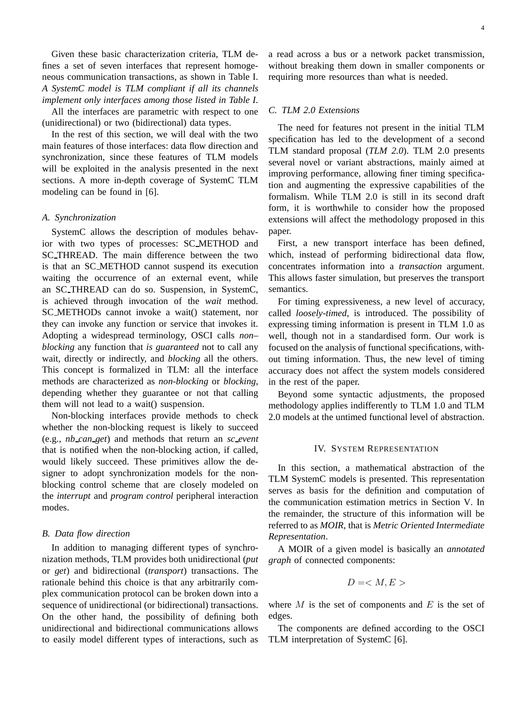Given these basic characterization criteria, TLM defines a set of seven interfaces that represent homogeneous communication transactions, as shown in Table I. *A SystemC model is TLM compliant if all its channels implement only interfaces among those listed in Table I*.

All the interfaces are parametric with respect to one (unidirectional) or two (bidirectional) data types.

In the rest of this section, we will deal with the two main features of those interfaces: data flow direction and synchronization, since these features of TLM models will be exploited in the analysis presented in the next sections. A more in-depth coverage of SystemC TLM modeling can be found in [6].

#### *A. Synchronization*

SystemC allows the description of modules behavior with two types of processes: SC METHOD and SC THREAD. The main difference between the two is that an SC METHOD cannot suspend its execution waiting the occurrence of an external event, while an SC THREAD can do so. Suspension, in SystemC, is achieved through invocation of the *wait* method. SC METHODs cannot invoke a wait() statement, nor they can invoke any function or service that invokes it. Adopting a widespread terminology, OSCI calls *non– blocking* any function that *is guaranteed* not to call any wait, directly or indirectly, and *blocking* all the others. This concept is formalized in TLM: all the interface methods are characterized as *non-blocking* or *blocking*, depending whether they guarantee or not that calling them will not lead to a wait() suspension.

Non-blocking interfaces provide methods to check whether the non-blocking request is likely to succeed (e.g., *nb can get*) and methods that return an *sc event* that is notified when the non-blocking action, if called, would likely succeed. These primitives allow the designer to adopt synchronization models for the nonblocking control scheme that are closely modeled on the *interrupt* and *program control* peripheral interaction modes.

#### *B. Data flow direction*

In addition to managing different types of synchronization methods, TLM provides both unidirectional (*put* or *get*) and bidirectional (*transport*) transactions. The rationale behind this choice is that any arbitrarily complex communication protocol can be broken down into a sequence of unidirectional (or bidirectional) transactions. On the other hand, the possibility of defining both unidirectional and bidirectional communications allows to easily model different types of interactions, such as a read across a bus or a network packet transmission, without breaking them down in smaller components or requiring more resources than what is needed.

# *C. TLM 2.0 Extensions*

The need for features not present in the initial TLM specification has led to the development of a second TLM standard proposal (*TLM 2.0*). TLM 2.0 presents several novel or variant abstractions, mainly aimed at improving performance, allowing finer timing specification and augmenting the expressive capabilities of the formalism. While TLM 2.0 is still in its second draft form, it is worthwhile to consider how the proposed extensions will affect the methodology proposed in this paper.

First, a new transport interface has been defined, which, instead of performing bidirectional data flow, concentrates information into a *transaction* argument. This allows faster simulation, but preserves the transport semantics.

For timing expressiveness, a new level of accuracy, called *loosely-timed*, is introduced. The possibility of expressing timing information is present in TLM 1.0 as well, though not in a standardised form. Our work is focused on the analysis of functional specifications, without timing information. Thus, the new level of timing accuracy does not affect the system models considered in the rest of the paper.

Beyond some syntactic adjustments, the proposed methodology applies indifferently to TLM 1.0 and TLM 2.0 models at the untimed functional level of abstraction.

# IV. SYSTEM REPRESENTATION

In this section, a mathematical abstraction of the TLM SystemC models is presented. This representation serves as basis for the definition and computation of the communication estimation metrics in Section V. In the remainder, the structure of this information will be referred to as *MOIR*, that is *Metric Oriented Intermediate Representation*.

A MOIR of a given model is basically an *annotated graph* of connected components:

$$
D=
$$

where  $M$  is the set of components and  $E$  is the set of edges.

The components are defined according to the OSCI TLM interpretation of SystemC [6].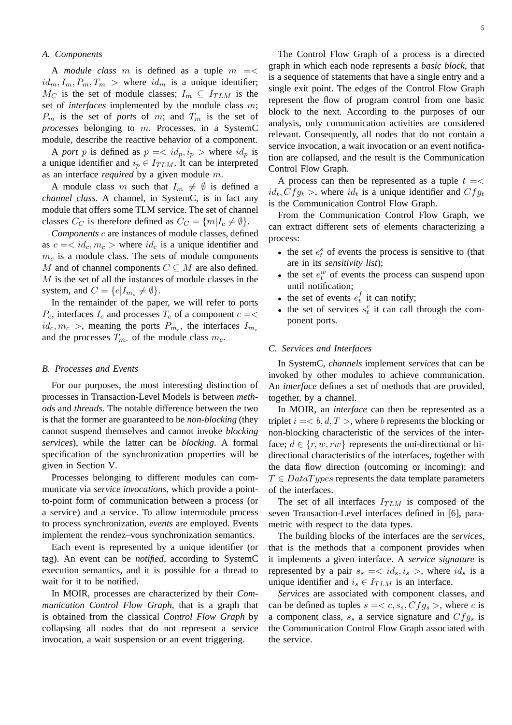## *A. Components*

A *module class* m is defined as a tuple  $m = \lt$  $id_m, I_m, P_m, T_m >$  where  $id_m$  is a unique identifier;  $M_C$  is the set of module classes;  $I_m \subseteq I_{TLM}$  is the set of *interfaces* implemented by the module class m;  $P_m$  is the set of *ports* of m; and  $T_m$  is the set of *processes* belonging to m. Processes, in a SystemC module, describe the reactive behavior of a component.

A *port p* is defined as  $p = \langle id_p, i_p \rangle$  where  $id_p$  is a unique identifier and  $i_p \in I_{TLM}$ . It can be interpreted as an interface *required* by a given module m.

A module class m such that  $I_m \neq \emptyset$  is defined a *channel class*. A channel, in SystemC, is in fact any module that offers some TLM service. The set of channel classes  $C_C$  is therefore defined as  $C_C = \{m | I_c \neq \emptyset\}.$ 

*Components* c are instances of module classes, defined as  $c = \langle id_c, m_c \rangle$  where  $id_c$  is a unique identifier and  $m<sub>c</sub>$  is a module class. The sets of module components M and of channel components  $C \subseteq M$  are also defined.  $M$  is the set of all the instances of module classes in the system, and  $C = \{c | I_{m_c} \neq \emptyset\}.$ 

In the remainder of the paper, we will refer to ports  $P_c$ , interfaces  $I_c$  and processes  $T_c$  of a component  $c = \lt$  $id_c, m_c >$ , meaning the ports  $P_{m_c}$ , the interfaces  $I_{m_c}$ and the processes  $T_{m_c}$  of the module class  $m_c$ .

#### *B. Processes and Events*

For our purposes, the most interesting distinction of processes in Transaction-Level Models is between *methods* and *threads*. The notable difference between the two is that the former are guaranteed to be *non-blocking* (they cannot suspend themselves and cannot invoke *blocking services*), while the latter can be *blocking*. A formal specification of the synchronization properties will be given in Section V.

Processes belonging to different modules can communicate via *service invocations*, which provide a pointto-point form of communication between a process (or a service) and a service. To allow intermodule process to process synchronization, *events* are employed. Events implement the rendez–vous synchronization semantics.

Each event is represented by a unique identifier (or tag). An event can be *notified*, according to SystemC execution semantics, and it is possible for a thread to wait for it to be notified.

In MOIR, processes are characterized by their *Communication Control Flow Graph*, that is a graph that is obtained from the classical *Control Flow Graph* by collapsing all nodes that do not represent a service invocation, a wait suspension or an event triggering.

The Control Flow Graph of a process is a directed graph in which each node represents a *basic block*, that is a sequence of statements that have a single entry and a single exit point. The edges of the Control Flow Graph represent the flow of program control from one basic block to the next. According to the purposes of our analysis, only communication activities are considered relevant. Consequently, all nodes that do not contain a service invocation, a wait invocation or an event notification are collapsed, and the result is the Communication Control Flow Graph.

A process can then be represented as a tuple  $t = \lt$  $id_t, Cfg_t$  >, where  $id_t$  is a unique identifier and  $Cfg_t$ is the Communication Control Flow Graph.

From the Communication Control Flow Graph, we can extract different sets of elements characterizing a process:

- the set  $e_t^s$  of events the process is sensitive to (that are in its *sensitivity list*);
- the set  $e_t^w$  of events the process can suspend upon until notification;
- the set of events  $e_t^f$  $t$  it can notify;
- the set of services  $s_t^c$  it can call through the component ports.

# *C. Services and Interfaces*

In SystemC, *channels* implement *services* that can be invoked by other modules to achieve communication. An *interface* defines a set of methods that are provided, together, by a channel.

In MOIR, an *interface* can then be represented as a triplet  $i = < b, d, T >$ , where b represents the blocking or non-blocking characteristic of the services of the interface;  $d \in \{r, w, rw\}$  represents the uni-directional or bidirectional characteristics of the interfaces, together with the data flow direction (outcoming or incoming); and  $T \in DataTypes$  represents the data template parameters of the interfaces.

The set of all interfaces  $I_{TLM}$  is composed of the seven Transaction-Level interfaces defined in [6], parametric with respect to the data types.

The building blocks of the interfaces are the *services*, that is the methods that a component provides when it implements a given interface. A *service signature* is represented by a pair  $s_s = \langle id_s, i_s \rangle$ , where  $id_s$  is a unique identifier and  $i_s \in I_{TLM}$  is an interface.

*Services* are associated with component classes, and can be defined as tuples  $s = < c, s_s, Cfg_s$ , where c is a component class,  $s_s$  a service signature and  $Cfg_s$  is the Communication Control Flow Graph associated with the service.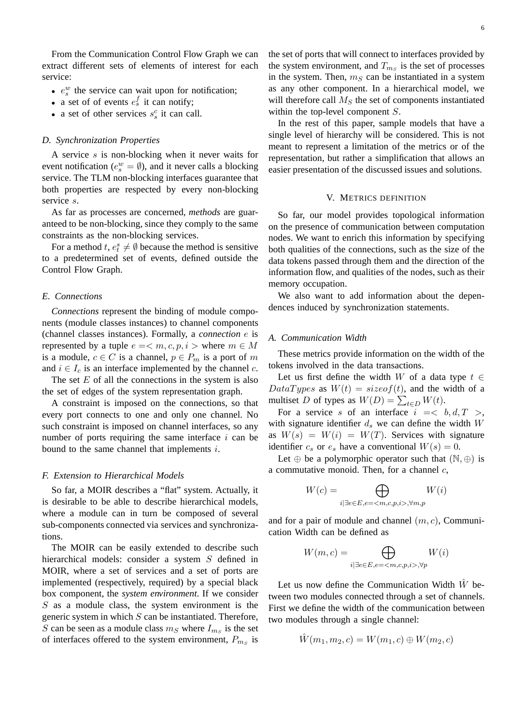From the Communication Control Flow Graph we can extract different sets of elements of interest for each service:

- $e_s^w$  the service can wait upon for notification;
- a set of of events  $e_s^f$  it can notify;
- a set of other services  $s_s^c$  it can call.

#### *D. Synchronization Properties*

A service s is non-blocking when it never waits for event notification ( $e_s^w = \emptyset$ ), and it never calls a blocking service. The TLM non-blocking interfaces guarantee that both properties are respected by every non-blocking service s.

As far as processes are concerned, *methods* are guaranteed to be non-blocking, since they comply to the same constraints as the non-blocking services.

For a method  $t, e_t^s \neq \emptyset$  because the method is sensitive to a predetermined set of events, defined outside the Control Flow Graph.

#### *E. Connections*

*Connections* represent the binding of module components (module classes instances) to channel components (channel classes instances). Formally, a *connection* e is represented by a tuple  $e = \langle m, c, p, i \rangle$  where  $m \in M$ is a module,  $c \in C$  is a channel,  $p \in P_m$  is a port of m and  $i \in I_c$  is an interface implemented by the channel c.

The set  $E$  of all the connections in the system is also the set of edges of the system representation graph.

A constraint is imposed on the connections, so that every port connects to one and only one channel. No such constraint is imposed on channel interfaces, so any number of ports requiring the same interface  $i$  can be bound to the same channel that implements i.

#### *F. Extension to Hierarchical Models*

So far, a MOIR describes a "flat" system. Actually, it is desirable to be able to describe hierarchical models, where a module can in turn be composed of several sub-components connected via services and synchronizations.

The MOIR can be easily extended to describe such hierarchical models: consider a system S defined in MOIR, where a set of services and a set of ports are implemented (respectively, required) by a special black box component, the *system environment*. If we consider  $S$  as a module class, the system environment is the generic system in which  $S$  can be instantiated. Therefore, S can be seen as a module class  $m_S$  where  $I_{m_S}$  is the set of interfaces offered to the system environment,  $P_{m_S}$  is

the set of ports that will connect to interfaces provided by the system environment, and  $T_{m_S}$  is the set of processes in the system. Then,  $m<sub>S</sub>$  can be instantiated in a system as any other component. In a hierarchical model, we will therefore call  $M<sub>S</sub>$  the set of components instantiated within the top-level component S.

In the rest of this paper, sample models that have a single level of hierarchy will be considered. This is not meant to represent a limitation of the metrics or of the representation, but rather a simplification that allows an easier presentation of the discussed issues and solutions.

#### V. METRICS DEFINITION

So far, our model provides topological information on the presence of communication between computation nodes. We want to enrich this information by specifying both qualities of the connections, such as the size of the data tokens passed through them and the direction of the information flow, and qualities of the nodes, such as their memory occupation.

We also want to add information about the dependences induced by synchronization statements.

#### *A. Communication Width*

These metrics provide information on the width of the tokens involved in the data transactions.

Let us first define the width W of a data type  $t \in$  $DataTypes$  as  $W(t) = sizeof(t)$ , and the width of a multiset D of types as  $W(D) = \sum_{t \in D} W(t)$ .

For a service s of an interface  $i = < b, d, T >$ , with signature identifier  $d_s$  we can define the width  $W$ as  $W(s) = W(i) = W(T)$ . Services with signature identifier  $c_s$  or  $e_s$  have a conventional  $W(s) = 0$ .

Let  $\oplus$  be a polymorphic operator such that  $(\mathbb{N}, \oplus)$  is a commutative monoid. Then, for a channel  $c$ ,

$$
W(c) = \bigoplus_{i \mid \exists e \in E, e = \langle m,c,p,i\rangle, \forall m,p} W(i)
$$

and for a pair of module and channel  $(m, c)$ , Communication Width can be defined as

$$
W(m, c) = \bigoplus_{i \mid \exists e \in E, e = \langle m, c, p, i \rangle, \forall p} W(i)
$$

Let us now define the Communication Width  $\hat{W}$  between two modules connected through a set of channels. First we define the width of the communication between two modules through a single channel:

$$
\hat{W}(m_1,m_2,c)=W(m_1,c)\oplus W(m_2,c)
$$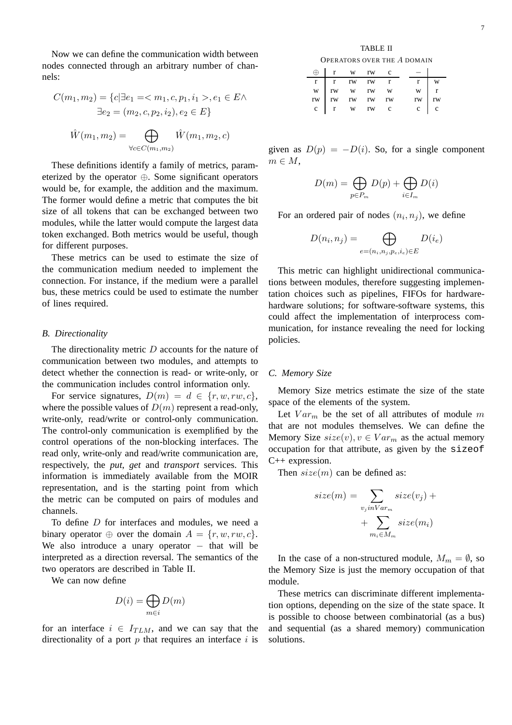Now we can define the communication width between nodes connected through an arbitrary number of channels:

$$
C(m_1, m_2) = \{c | \exists e_1 = , e_1 \in E \land \n\exists e_2 = (m_2, c, p_2, i_2), e_2 \in E\}
$$
\n
$$
\hat{W}(m_1, m_2) = \bigoplus_{\forall c \in C(m_1, m_2)} \hat{W}(m_1, m_2, c)
$$

These definitions identify a family of metrics, parameterized by the operator ⊕. Some significant operators would be, for example, the addition and the maximum. The former would define a metric that computes the bit size of all tokens that can be exchanged between two modules, while the latter would compute the largest data token exchanged. Both metrics would be useful, though for different purposes.

These metrics can be used to estimate the size of the communication medium needed to implement the connection. For instance, if the medium were a parallel bus, these metrics could be used to estimate the number of lines required.

## *B. Directionality*

The directionality metric D accounts for the nature of communication between two modules, and attempts to detect whether the connection is read- or write-only, or the communication includes control information only.

For service signatures,  $D(m) = d \in \{r, w, rw, c\}$ , where the possible values of  $D(m)$  represent a read-only, write-only, read/write or control-only communication. The control-only communication is exemplified by the control operations of the non-blocking interfaces. The read only, write-only and read/write communication are, respectively, the *put*, *get* and *transport* services. This information is immediately available from the MOIR representation, and is the starting point from which the metric can be computed on pairs of modules and channels.

To define D for interfaces and modules, we need a binary operator ⊕ over the domain  $A = \{r, w, rw, c\}$ . We also introduce a unary operator  $-$  that will be interpreted as a direction reversal. The semantics of the two operators are described in Table II.

We can now define

$$
D(i) = \bigoplus_{m \in i} D(m)
$$

for an interface  $i \in I_{TLM}$ , and we can say that the directionality of a port  $p$  that requires an interface  $i$  is

TABLE II OPERATORS OVER THE A DOMAIN

|  | r w rw c                                                                                                                         |  |  |                                                                                                                             |
|--|----------------------------------------------------------------------------------------------------------------------------------|--|--|-----------------------------------------------------------------------------------------------------------------------------|
|  | $\begin{tabular}{ccccc} r & r & rw & rw & r\\ w & rw & w & rw & w\\ rw & rw & rw & rw & rw\\ c & r & w & rw & c\\ \end{tabular}$ |  |  | $\begin{array}{ccc} \text{r} & \text{w} \\ \text{w} & \text{r} \\ \text{rw} & \text{rw} \\ \text{c} & \text{c} \end{array}$ |
|  |                                                                                                                                  |  |  |                                                                                                                             |
|  |                                                                                                                                  |  |  |                                                                                                                             |
|  |                                                                                                                                  |  |  |                                                                                                                             |
|  |                                                                                                                                  |  |  |                                                                                                                             |

given as  $D(p) = -D(i)$ . So, for a single component  $m \in M$ ,

$$
D(m) = \bigoplus_{p \in P_m} D(p) + \bigoplus_{i \in I_m} D(i)
$$

For an ordered pair of nodes  $(n_i, n_j)$ , we define

$$
D(n_i, n_j) = \bigoplus_{e=(n_i, n_j, p_e, i_e) \in E} D(i_e)
$$

This metric can highlight unidirectional communications between modules, therefore suggesting implementation choices such as pipelines, FIFOs for hardwarehardware solutions; for software-software systems, this could affect the implementation of interprocess communication, for instance revealing the need for locking policies.

## *C. Memory Size*

Memory Size metrics estimate the size of the state space of the elements of the system.

Let  $Var_m$  be the set of all attributes of module m that are not modules themselves. We can define the Memory Size  $size(v), v \in Var_m$  as the actual memory occupation for that attribute, as given by the sizeof C++ expression.

Then  $size(m)$  can be defined as:

$$
size(m) = \sum_{v_j in Var_m} size(v_j) + \sum_{m_i \in M_m} size(m_i)
$$

In the case of a non-structured module,  $M_m = \emptyset$ , so the Memory Size is just the memory occupation of that module.

These metrics can discriminate different implementation options, depending on the size of the state space. It is possible to choose between combinatorial (as a bus) and sequential (as a shared memory) communication solutions.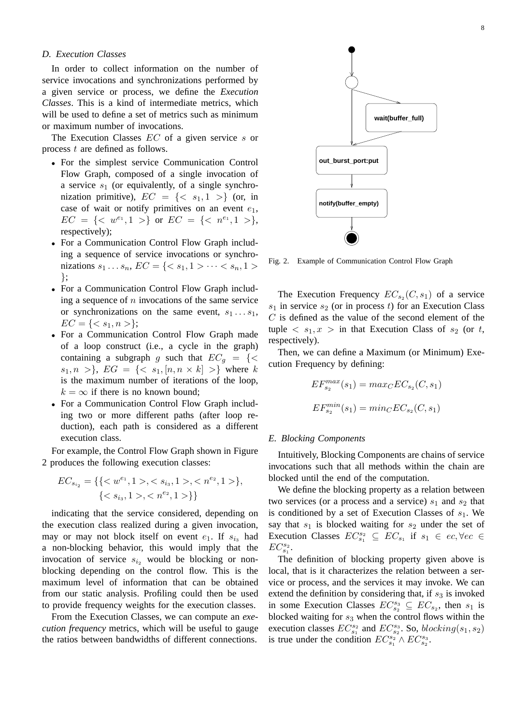# *D. Execution Classes*

In order to collect information on the number of service invocations and synchronizations performed by a given service or process, we define the *Execution Classes*. This is a kind of intermediate metrics, which will be used to define a set of metrics such as minimum or maximum number of invocations.

The Execution Classes EC of a given service s or process t are defined as follows.

- For the simplest service Communication Control Flow Graph, composed of a single invocation of a service  $s_1$  (or equivalently, of a single synchronization primitive),  $EC = \{< s_1, 1 >\}$  (or, in case of wait or notify primitives on an event  $e_1$ ,  $EC = \{ \langle w^{e_1}, 1 \rangle \}$  or  $EC = \{ \langle n^{e_1}, 1 \rangle \}$ , respectively);
- For a Communication Control Flow Graph including a sequence of service invocations or synchronizations  $s_1 \dots s_n$ ,  $EC = \{ < s_1, 1 > \dots < s_n, 1 > \}$ };
- For a Communication Control Flow Graph including a sequence of  $n$  invocations of the same service or synchronizations on the same event,  $s_1 \ldots s_1$ ,  $EC = \{ \langle s_1, n \rangle \};$
- For a Communication Control Flow Graph made of a loop construct (i.e., a cycle in the graph) containing a subgraph g such that  $EC_q = \{ \langle \rangle$  $s_1, n >\}, \ EG = \{< s_1, [n, n \times k] >\}$  where k is the maximum number of iterations of the loop,  $k = \infty$  if there is no known bound:
- For a Communication Control Flow Graph including two or more different paths (after loop reduction), each path is considered as a different execution class.

For example, the Control Flow Graph shown in Figure 2 produces the following execution classes:

$$
EC_{s_{i_2}} = \{ \{ \langle w^{e_1}, 1 \rangle, \langle s_{i_3}, 1 \rangle, \langle n^{e_2}, 1 \rangle \}, \{ \langle s_{i_3}, 1 \rangle, \langle n^{e_2}, 1 \rangle \} \}
$$

indicating that the service considered, depending on the execution class realized during a given invocation, may or may not block itself on event  $e_1$ . If  $s_{i_3}$  had a non-blocking behavior, this would imply that the invocation of service  $s_{i_2}$  would be blocking or nonblocking depending on the control flow. This is the maximum level of information that can be obtained from our static analysis. Profiling could then be used to provide frequency weights for the execution classes.

From the Execution Classes, we can compute an *execution frequency* metrics, which will be useful to gauge the ratios between bandwidths of different connections.



Fig. 2. Example of Communication Control Flow Graph

The Execution Frequency  $EC_{s_2}(C, s_1)$  of a service  $s_1$  in service  $s_2$  (or in process t) for an Execution Class  $C$  is defined as the value of the second element of the tuple  $\langle s_1, x \rangle$  in that Execution Class of  $s_2$  (or t, respectively).

Then, we can define a Maximum (or Minimum) Execution Frequency by defining:

$$
EF_{s_2}^{max}(s_1) = max_C EC_{s_2}(C, s_1)
$$
  

$$
EF_{s_2}^{min}(s_1) = min_C EC_{s_2}(C, s_1)
$$

#### *E. Blocking Components*

Intuitively, Blocking Components are chains of service invocations such that all methods within the chain are blocked until the end of the computation.

We define the blocking property as a relation between two services (or a process and a service)  $s_1$  and  $s_2$  that is conditioned by a set of Execution Classes of  $s_1$ . We say that  $s_1$  is blocked waiting for  $s_2$  under the set of Execution Classes  $EC_{s_1}^{s_2} \subseteq EC_{s_1}$  if  $s_1 \in ec, \forall ec \in$  $EC_{s_1}^{s_2}$ .

The definition of blocking property given above is local, that is it characterizes the relation between a service or process, and the services it may invoke. We can extend the definition by considering that, if  $s_3$  is invoked in some Execution Classes  $EC_{s_2}^{s_3} \subseteq EC_{s_2}$ , then  $s_1$  is blocked waiting for  $s_3$  when the control flows within the execution classes  $EC_{s_1}^{s_2}$  and  $EC_{s_2}^{s_3}$ . So,  $blocking(s_1, s_2)$ is true under the condition  $EC_{s_1}^{s_2} \wedge EC_{s_2}^{s_3}$ .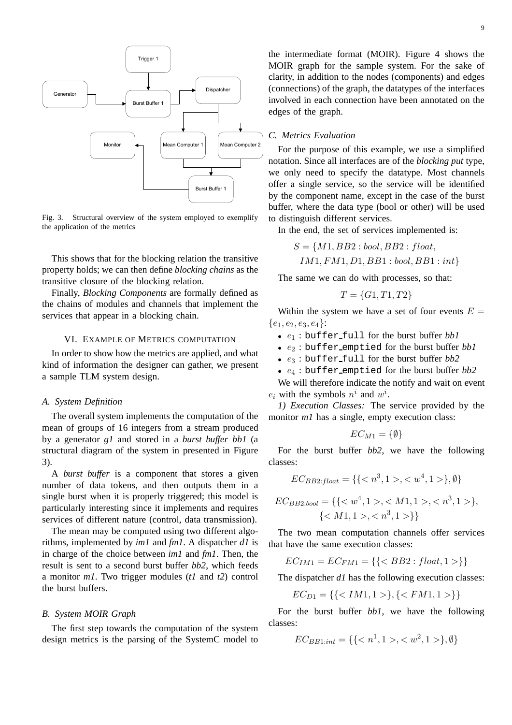

Fig. 3. Structural overview of the system employed to exemplify the application of the metrics

This shows that for the blocking relation the transitive property holds; we can then define *blocking chains* as the transitive closure of the blocking relation.

Finally, *Blocking Components* are formally defined as the chains of modules and channels that implement the services that appear in a blocking chain.

#### VI. EXAMPLE OF METRICS COMPUTATION

In order to show how the metrics are applied, and what kind of information the designer can gather, we present a sample TLM system design.

# *A. System Definition*

The overall system implements the computation of the mean of groups of 16 integers from a stream produced by a generator *g1* and stored in a *burst buffer bb1* (a structural diagram of the system in presented in Figure 3).

A *burst buffer* is a component that stores a given number of data tokens, and then outputs them in a single burst when it is properly triggered; this model is particularly interesting since it implements and requires services of different nature (control, data transmission).

The mean may be computed using two different algorithms, implemented by *im1* and *fm1*. A dispatcher *d1* is in charge of the choice between *im1* and *fm1*. Then, the result is sent to a second burst buffer *bb2*, which feeds a monitor *m1*. Two trigger modules (*t1* and *t2*) control the burst buffers.

# *B. System MOIR Graph*

The first step towards the computation of the system design metrics is the parsing of the SystemC model to

the intermediate format (MOIR). Figure 4 shows the MOIR graph for the sample system. For the sake of clarity, in addition to the nodes (components) and edges (connections) of the graph, the datatypes of the interfaces involved in each connection have been annotated on the edges of the graph.

#### *C. Metrics Evaluation*

For the purpose of this example, we use a simplified notation. Since all interfaces are of the *blocking put* type, we only need to specify the datatype. Most channels offer a single service, so the service will be identified by the component name, except in the case of the burst buffer, where the data type (bool or other) will be used to distinguish different services.

In the end, the set of services implemented is:

$$
S = \{M1, BB2 : bool, BB2 : float,
$$

 $IM1, FM1, D1, BB1 : bool, BB1 : int$ 

The same we can do with processes, so that:

$$
T = \{G1, T1, T2\}
$$

Within the system we have a set of four events  $E =$  ${e_1,e_2,e_3,e_4}$ :

- $e_1$ : buffer full for the burst buffer *bb1*
- $e_2$ : buffer emptied for the burst buffer  $bb1$
- e<sup>3</sup> : buffer full for the burst buffer *bb2*
- e<sup>4</sup> : buffer emptied for the burst buffer *bb2*

We will therefore indicate the notify and wait on event  $e_i$  with the symbols  $n^i$  and  $w^i$ .

*1) Execution Classes:* The service provided by the monitor *m1* has a single, empty execution class:

$$
EC_{M1} = \{\emptyset\}
$$

For the burst buffer *bb2*, we have the following classes:

$$
EC_{BB2:float} = \{ \{ ,  \}, \emptyset \}
$$

$$
EC_{BB2:bool} = \{ \{ , ,  \}, \{ ,  \} \}
$$

The two mean computation channels offer services that have the same execution classes:

$$
EC_{IM1} = EC_{FM1} = \{\{\}\}\
$$

The dispatcher *d1* has the following execution classes:

$$
EC_{D1} = \{\{\}, \{\}\}\
$$

For the burst buffer *bb1*, we have the following classes:

$$
EC_{BB1:int} = \{\{ < n^1, 1 > \lt, w^2, 1 > \}, \emptyset\}
$$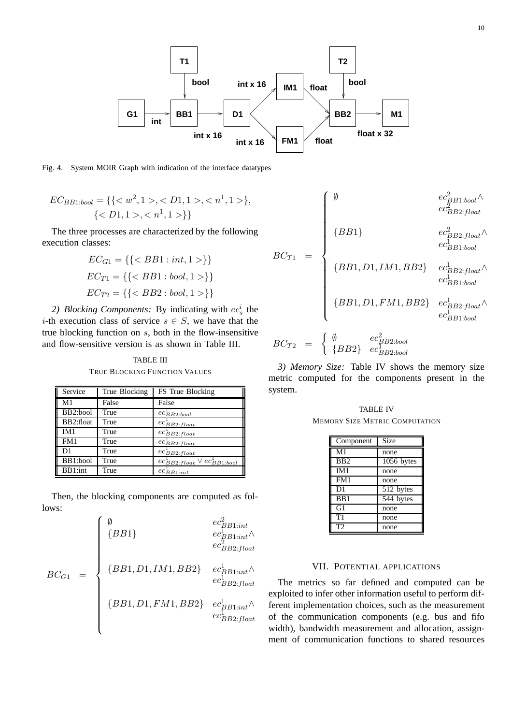

Fig. 4. System MOIR Graph with indication of the interface datatypes

$$
EC_{BB1:bool} = \{ \{ , ,  \}, \{ ,  \} \}
$$

The three processes are characterized by the following execution classes:

$$
EC_{G1} = \{\{\}\}\
$$

$$
EC_{T1} = \{\{\}\}\
$$

$$
EC_{T2} = \{\{\}\}\
$$

2) *Blocking Components:* By indicating with  $ec_s^i$  the i-th execution class of service  $s \in S$ , we have that the true blocking function on s, both in the flow-insensitive and flow-sensitive version is as shown in Table III.

TABLE III TRUE BLOCKING FUNCTION VALUES

| Service   | True Blocking | FS True Blocking                                    |
|-----------|---------------|-----------------------------------------------------|
| M1        | False         | False                                               |
| BB2:bool  | True          | $ec_{BB2:bool}^{\perp}$                             |
| BB2:float | True          | $ec_{BB2:float}^{\perp}$                            |
| IM1       | True          | $ec_{BB2:float}^{\dagger}$                          |
| FM1       | True          | $ec_{BB2:float}^{\perp}$                            |
| D1        | True          | $ec_{BB2:float}^{\perp}$                            |
| BB1:bool  | True          | $ec_{BB2:float}^{\perp} \vee ec_{BB1:bool}^{\perp}$ |
| BB1:int   | True          | $ec_{BB1:int}$                                      |

Then, the blocking components are computed as follows:

$$
BC_{G1} = \begin{cases} \emptyset & ec_{BB1:int}^{2} \\ \{BB1\} & ec_{BB1:int}^{1} \land \\ & ec_{BB2:float}^{2} \\ \\ \{BB1, D1, IM1, BB2\} & ec_{BB1:int}^{1} \land \\ & ec_{BB2:float}^{1} \\ \{BB1, D1, FM1, BB2\} & ec_{BB1:int}^{1} \land \\ & ec_{BB2:float}^{1} \\ \{BB1, D1, FM1, BB2\} & ec_{BB1:int}^{1} \land \\ & ec_{BB2:float}^{1} \\ \end{cases}
$$

$$
BC_{T1} = \begin{cases} \emptyset & ee_{BB1:bool}^{2} \land \\ & ee_{BB2:float}^{2} \\ & ee_{BB2:float}^{2} \land \\ & ee_{BB1:bool}^{2} \\ & ee_{BB1:bool}^{1} \\ & ee_{BB1:bool}^{1} \\ & ee_{BB1:bool}^{1} \\ & ee_{BB1:bool}^{1} \\ & ee_{BB1:bool}^{1} \\ & ee_{BB1:bool}^{1} \\ & ee_{BB1:bool}^{1} \\ & ee_{BB1:bool}^{1} \\ & ee_{BB1:bool}^{1} \\ \end{cases}
$$

*3) Memory Size:* Table IV shows the memory size metric computed for the components present in the system.

TABLE IV MEMORY SIZE METRIC COMPUTATION

| Component        | <b>Size</b>            |
|------------------|------------------------|
| M <sub>1</sub>   | none                   |
| B <sub>B2</sub>  | 1056 bytes             |
| IM1              | none                   |
| FM1              | none                   |
| D <sub>1</sub>   | $\overline{51}2$ bytes |
| B <sub>B</sub> 1 | 544 bytes              |
| G1               | none                   |
| T1               | none                   |
| T2               | none                   |

# VII. POTENTIAL APPLICATIONS

The metrics so far defined and computed can be exploited to infer other information useful to perform different implementation choices, such as the measurement of the communication components (e.g. bus and fifo width), bandwidth measurement and allocation, assignment of communication functions to shared resources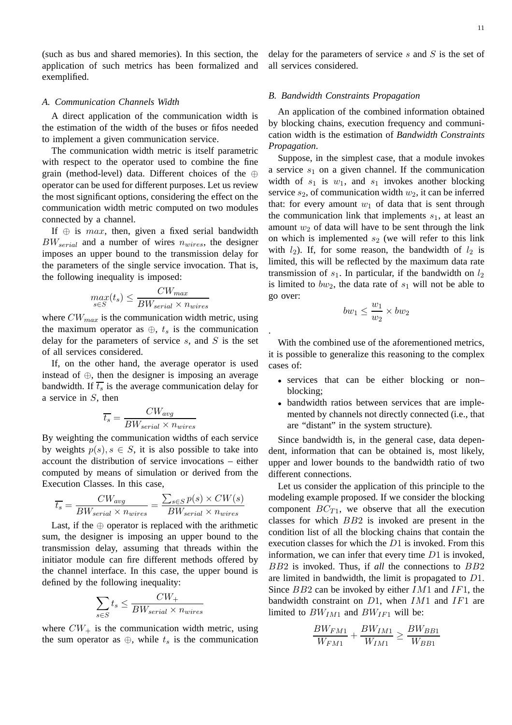(such as bus and shared memories). In this section, the application of such metrics has been formalized and exemplified.

## *A. Communication Channels Width*

A direct application of the communication width is the estimation of the width of the buses or fifos needed to implement a given communication service.

The communication width metric is itself parametric with respect to the operator used to combine the fine grain (method-level) data. Different choices of the ⊕ operator can be used for different purposes. Let us review the most significant options, considering the effect on the communication width metric computed on two modules connected by a channel.

If  $\oplus$  is max, then, given a fixed serial bandwidth  $BW_{serial}$  and a number of wires  $n_{wires}$ , the designer imposes an upper bound to the transmission delay for the parameters of the single service invocation. That is, the following inequality is imposed:

$$
\max_{s \in S}(t_s) \le \frac{CW_{max}}{BW_{serial} \times n_{wires}}
$$

where  $CW_{max}$  is the communication width metric, using the maximum operator as  $\oplus$ ,  $t_s$  is the communication delay for the parameters of service  $s$ , and  $S$  is the set of all services considered.

If, on the other hand, the average operator is used instead of ⊕, then the designer is imposing an average bandwidth. If  $\overline{t_s}$  is the average communication delay for a service in S, then

$$
\overline{t_s} = \frac{CW_{avg}}{BW_{serial} \times n_{wires}}
$$

By weighting the communication widths of each service by weights  $p(s), s \in S$ , it is also possible to take into account the distribution of service invocations – either computed by means of simulation or derived from the Execution Classes. In this case,

$$
\overline{t_s} = \frac{CW_{avg}}{BW_{serial} \times n_{wires}} = \frac{\sum_{s \in S} p(s) \times CW(s)}{BW_{serial} \times n_{wires}}
$$

Last, if the  $oplus$  operator is replaced with the arithmetic sum, the designer is imposing an upper bound to the transmission delay, assuming that threads within the initiator module can fire different methods offered by the channel interface. In this case, the upper bound is defined by the following inequality:

$$
\sum_{s \in S} t_s \le \frac{CW_+}{BW_{serial} \times n_{wires}}
$$

where  $CW_+$  is the communication width metric, using the sum operator as  $\oplus$ , while  $t_s$  is the communication delay for the parameters of service  $s$  and  $S$  is the set of all services considered.

## *B. Bandwidth Constraints Propagation*

An application of the combined information obtained by blocking chains, execution frequency and communication width is the estimation of *Bandwidth Constraints Propagation*.

Suppose, in the simplest case, that a module invokes a service  $s_1$  on a given channel. If the communication width of  $s_1$  is  $w_1$ , and  $s_1$  invokes another blocking service  $s_2$ , of communication width  $w_2$ , it can be inferred that: for every amount  $w_1$  of data that is sent through the communication link that implements  $s<sub>1</sub>$ , at least an amount  $w_2$  of data will have to be sent through the link on which is implemented  $s_2$  (we will refer to this link with  $l_2$ ). If, for some reason, the bandwidth of  $l_2$  is limited, this will be reflected by the maximum data rate transmission of  $s_1$ . In particular, if the bandwidth on  $l_2$ is limited to  $bw_2$ , the data rate of  $s_1$  will not be able to go over:

$$
bw_1 \leq \frac{w_1}{w_2} \times bw_2
$$

.

With the combined use of the aforementioned metrics, it is possible to generalize this reasoning to the complex cases of:

- services that can be either blocking or non– blocking;
- bandwidth ratios between services that are implemented by channels not directly connected (i.e., that are "distant" in the system structure).

Since bandwidth is, in the general case, data dependent, information that can be obtained is, most likely, upper and lower bounds to the bandwidth ratio of two different connections.

Let us consider the application of this principle to the modeling example proposed. If we consider the blocking component  $BC_{T1}$ , we observe that all the execution classes for which BB2 is invoked are present in the condition list of all the blocking chains that contain the execution classes for which the D1 is invoked. From this information, we can infer that every time D1 is invoked, BB2 is invoked. Thus, if *all* the connections to BB2 are limited in bandwidth, the limit is propagated to D1. Since  $BB2$  can be invoked by either  $IM1$  and  $IF1$ , the bandwidth constraint on  $D1$ , when  $IM1$  and  $IF1$  are limited to  $BW_{IM1}$  and  $BW_{IF1}$  will be:

$$
\frac{BW_{FM1}}{W_{FM1}} + \frac{BW_{IM1}}{W_{IM1}} \ge \frac{BW_{BB1}}{W_{BB1}}
$$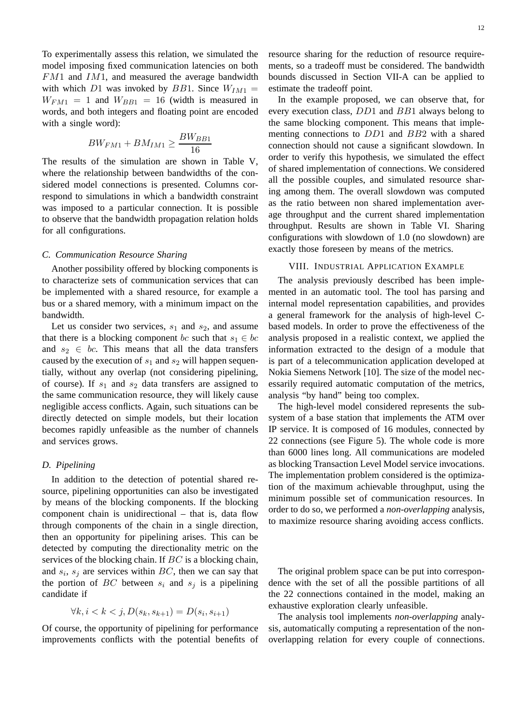To experimentally assess this relation, we simulated the model imposing fixed communication latencies on both  $FM1$  and  $IM1$ , and measured the average bandwidth with which D1 was invoked by BB1. Since  $W_{IM1}$  =  $W_{FM1} = 1$  and  $W_{BB1} = 16$  (width is measured in words, and both integers and floating point are encoded with a single word):

$$
BW_{FM1} + BM_{IM1} \ge \frac{BW_{BB1}}{16}
$$

The results of the simulation are shown in Table V, where the relationship between bandwidths of the considered model connections is presented. Columns correspond to simulations in which a bandwidth constraint was imposed to a particular connection. It is possible to observe that the bandwidth propagation relation holds for all configurations.

## *C. Communication Resource Sharing*

Another possibility offered by blocking components is to characterize sets of communication services that can be implemented with a shared resource, for example a bus or a shared memory, with a minimum impact on the bandwidth.

Let us consider two services,  $s_1$  and  $s_2$ , and assume that there is a blocking component bc such that  $s_1 \in bc$ and  $s_2 \in bc$ . This means that all the data transfers caused by the execution of  $s_1$  and  $s_2$  will happen sequentially, without any overlap (not considering pipelining, of course). If  $s_1$  and  $s_2$  data transfers are assigned to the same communication resource, they will likely cause negligible access conflicts. Again, such situations can be directly detected on simple models, but their location becomes rapidly unfeasible as the number of channels and services grows.

#### *D. Pipelining*

In addition to the detection of potential shared resource, pipelining opportunities can also be investigated by means of the blocking components. If the blocking component chain is unidirectional – that is, data flow through components of the chain in a single direction, then an opportunity for pipelining arises. This can be detected by computing the directionality metric on the services of the blocking chain. If BC is a blocking chain, and  $s_i$ ,  $s_j$  are services within  $BC$ , then we can say that the portion of  $BC$  between  $s_i$  and  $s_j$  is a pipelining candidate if

$$
\forall k, i < k < j, D(s_k, s_{k+1}) = D(s_i, s_{i+1})
$$

Of course, the opportunity of pipelining for performance improvements conflicts with the potential benefits of resource sharing for the reduction of resource requirements, so a tradeoff must be considered. The bandwidth bounds discussed in Section VII-A can be applied to estimate the tradeoff point.

In the example proposed, we can observe that, for every execution class, DD1 and BB1 always belong to the same blocking component. This means that implementing connections to DD1 and BB2 with a shared connection should not cause a significant slowdown. In order to verify this hypothesis, we simulated the effect of shared implementation of connections. We considered all the possible couples, and simulated resource sharing among them. The overall slowdown was computed as the ratio between non shared implementation average throughput and the current shared implementation throughput. Results are shown in Table VI. Sharing configurations with slowdown of 1.0 (no slowdown) are exactly those foreseen by means of the metrics.

#### VIII. INDUSTRIAL APPLICATION EXAMPLE

The analysis previously described has been implemented in an automatic tool. The tool has parsing and internal model representation capabilities, and provides a general framework for the analysis of high-level Cbased models. In order to prove the effectiveness of the analysis proposed in a realistic context, we applied the information extracted to the design of a module that is part of a telecommunication application developed at Nokia Siemens Network [10]. The size of the model necessarily required automatic computation of the metrics, analysis "by hand" being too complex.

The high-level model considered represents the subsystem of a base station that implements the ATM over IP service. It is composed of 16 modules, connected by 22 connections (see Figure 5). The whole code is more than 6000 lines long. All communications are modeled as blocking Transaction Level Model service invocations. The implementation problem considered is the optimization of the maximum achievable throughput, using the minimum possible set of communication resources. In order to do so, we performed a *non-overlapping* analysis, to maximize resource sharing avoiding access conflicts.

The original problem space can be put into correspondence with the set of all the possible partitions of all the 22 connections contained in the model, making an exhaustive exploration clearly unfeasible.

The analysis tool implements *non-overlapping* analysis, automatically computing a representation of the nonoverlapping relation for every couple of connections.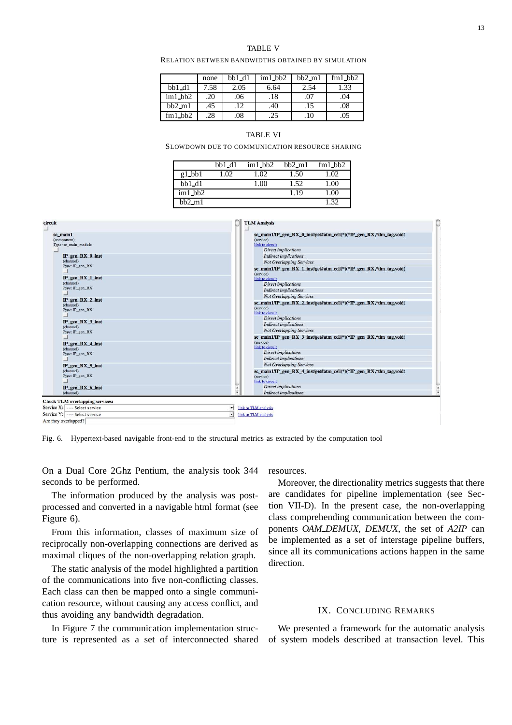#### TABLE V

RELATION BETWEEN BANDWIDTHS OBTAINED BY SIMULATION

|           | none | $bb1_d1$ | $im1$ _bb2       | $bh2$ -m1 | $fm1$ bb2 |
|-----------|------|----------|------------------|-----------|-----------|
| $bb1_d1$  | 7.58 | 2.05     | 6.64             | 2.54      | 1.33      |
| $im1$ bb2 | 20   | .06      | .18 <sup>°</sup> | .07       | .04       |
| $bh2$ _m1 | .45  | 12       | .40              | .15       | .08       |
| $fml$ bb2 | 28   | .08      | .25              | .10       | .05       |

#### TABLE VI

SLOWDOWN DUE TO COMMUNICATION RESOURCE SHARING

|            | bb1 d1 | $im1$ _bb2 | $hh2 \text{ m}1$ | $fm1$ _ $hb2$ |
|------------|--------|------------|------------------|---------------|
| $g1$ _bb1  | 1.02   | 1.02       | 1.50             | 1.02          |
| $bb1_d1$   |        | 1.00       | 1.52             | 1.00          |
| $im1$ _bb2 |        |            | 1.19             | 1.00          |
| $bb2$ _m1  |        |            |                  | 132           |



Fig. 6. Hypertext-based navigable front-end to the structural metrics as extracted by the computation tool

On a Dual Core 2Ghz Pentium, the analysis took 344 seconds to be performed.

The information produced by the analysis was postprocessed and converted in a navigable html format (see Figure 6).

From this information, classes of maximum size of reciprocally non-overlapping connections are derived as maximal cliques of the non-overlapping relation graph.

The static analysis of the model highlighted a partition of the communications into five non-conflicting classes. Each class can then be mapped onto a single communication resource, without causing any access conflict, and thus avoiding any bandwidth degradation.

In Figure 7 the communication implementation structure is represented as a set of interconnected shared resources.

Moreover, the directionality metrics suggests that there are candidates for pipeline implementation (see Section VII-D). In the present case, the non-overlapping class comprehending communication between the components *OAM DEMUX*, *DEMUX*, the set of *A2IP* can be implemented as a set of interstage pipeline buffers, since all its communications actions happen in the same direction.

## IX. CONCLUDING REMARKS

We presented a framework for the automatic analysis of system models described at transaction level. This